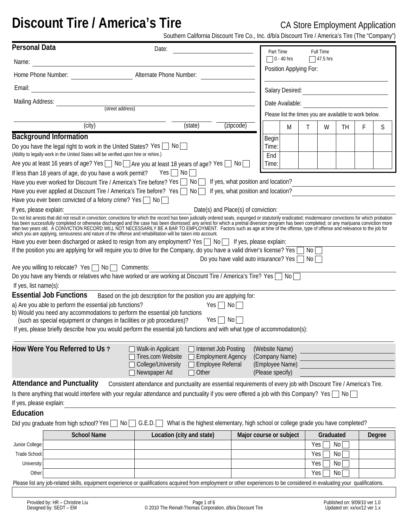# **Discount Tire / America's Tire CA Store Employment Application**

Southern California Discount Tire Co., Inc. d/b/a Discount Tire / America's Tire (The "Company")

| <b>Personal Data</b>                                                                                                                                                                                                                                                                                                                           | Date:                                                                                                              |                          |                                                                                  | Part Time                                                               |                                            |      | Full Time |     |   |        |
|------------------------------------------------------------------------------------------------------------------------------------------------------------------------------------------------------------------------------------------------------------------------------------------------------------------------------------------------|--------------------------------------------------------------------------------------------------------------------|--------------------------|----------------------------------------------------------------------------------|-------------------------------------------------------------------------|--------------------------------------------|------|-----------|-----|---|--------|
| Name:                                                                                                                                                                                                                                                                                                                                          |                                                                                                                    |                          |                                                                                  |                                                                         | $\Box$ 0 - 40 hrs<br>$\sqrt{47.5}$ hrs     |      |           |     |   |        |
| Home Phone Number: National Alternate Phone Number:                                                                                                                                                                                                                                                                                            |                                                                                                                    |                          |                                                                                  |                                                                         | Position Applying For:                     |      |           |     |   |        |
| Email:                                                                                                                                                                                                                                                                                                                                         | <u> 1980 - Johann Barbara, martxa alemaniar arg</u>                                                                |                          |                                                                                  |                                                                         | Salary Desired:<br><u> Salary Desired:</u> |      |           |     |   |        |
| Mailing Address:                                                                                                                                                                                                                                                                                                                               |                                                                                                                    |                          |                                                                                  |                                                                         | Date Available:                            |      |           |     |   |        |
|                                                                                                                                                                                                                                                                                                                                                | (street address)                                                                                                   | $\vert \mathbf{v} \vert$ |                                                                                  | Please list the times you are available to work below.                  |                                            |      |           |     |   |        |
| (city)                                                                                                                                                                                                                                                                                                                                         |                                                                                                                    | (state)                  | (zipcode)                                                                        |                                                                         | M                                          | Τ    | W         | TH. | F | S      |
| <b>Background Information</b>                                                                                                                                                                                                                                                                                                                  |                                                                                                                    |                          |                                                                                  | Begin                                                                   |                                            |      |           |     |   |        |
| Do you have the legal right to work in the United States? Yes $\Box$ No<br>(Ability to legally work in the United States will be verified upon hire or rehire.)                                                                                                                                                                                |                                                                                                                    |                          |                                                                                  | Time:<br>End                                                            |                                            |      |           |     |   |        |
| Are you at least 16 years of age? Yes ◯ No ◯ Are you at least 18 years of age? Yes ◯ No ◯                                                                                                                                                                                                                                                      |                                                                                                                    |                          |                                                                                  | Time:                                                                   |                                            |      |           |     |   |        |
| If less than 18 years of age, do you have a work permit?                                                                                                                                                                                                                                                                                       | $Yes \Box No \Box$                                                                                                 |                          |                                                                                  |                                                                         |                                            |      |           |     |   |        |
| Have you ever worked for Discount Tire / America's Tire before? Yes $\Box$ No $\Box$ If yes, what position and location?                                                                                                                                                                                                                       |                                                                                                                    |                          |                                                                                  |                                                                         |                                            |      |           |     |   |        |
| Have you ever applied at Discount Tire / America's Tire before? Yes No S If yes, what position and location?                                                                                                                                                                                                                                   |                                                                                                                    |                          |                                                                                  |                                                                         |                                            |      |           |     |   |        |
| Have you ever been convicted of a felony crime? Yes $\Box$ No $\Box$                                                                                                                                                                                                                                                                           |                                                                                                                    |                          |                                                                                  |                                                                         |                                            |      |           |     |   |        |
| If yes, please explain:                                                                                                                                                                                                                                                                                                                        |                                                                                                                    |                          | Date(s) and Place(s) of conviction:                                              |                                                                         |                                            |      |           |     |   |        |
| Do not list arrests that did not result in conviction; convictions for which the record has been judicially ordered seals, expunged or statutorily eradicated; misdemeanor convictions for which probation has been successful                                                                                                                 |                                                                                                                    |                          |                                                                                  |                                                                         |                                            |      |           |     |   |        |
| Have you ever been discharged or asked to resign from any employment? Yes $\Box$ No $\Box$ If yes, please explain:                                                                                                                                                                                                                             |                                                                                                                    |                          |                                                                                  |                                                                         |                                            |      |           |     |   |        |
| If the position you are applying for will require you to drive for the Company, do you have a valid driver's license? Yes                                                                                                                                                                                                                      |                                                                                                                    |                          |                                                                                  |                                                                         |                                            | No [ |           |     |   |        |
| Are you willing to relocate? Yes $\Box$ No $\Box$ Comments:                                                                                                                                                                                                                                                                                    |                                                                                                                    |                          | Do you have valid auto insurance? Yes                                            |                                                                         |                                            | No l |           |     |   |        |
| Do you have any friends or relatives who have worked or are working at Discount Tire / America's Tire? Yes                                                                                                                                                                                                                                     |                                                                                                                    |                          |                                                                                  |                                                                         |                                            |      |           |     |   |        |
| If yes, list name(s):                                                                                                                                                                                                                                                                                                                          |                                                                                                                    |                          |                                                                                  |                                                                         |                                            |      |           |     |   |        |
| <b>Essential Job Functions</b>                                                                                                                                                                                                                                                                                                                 | Based on the job description for the position you are applying for:                                                |                          |                                                                                  |                                                                         |                                            |      |           |     |   |        |
| a) Are you able to perform the essential job functions?<br>b) Would you need any accommodations to perform the essential job functions<br>(such as special equipment or changes in facilities or job procedures)?<br>If yes, please briefly describe how you would perform the essential job functions and with what type of accommodation(s): |                                                                                                                    |                          | $Yes \Box No \Box$<br>$Yes \Box No \Box$                                         |                                                                         |                                            |      |           |     |   |        |
| How Were You Referred to Us?                                                                                                                                                                                                                                                                                                                   | Walk-in Applicant<br>Tires.com Website<br>College/University<br>Newspaper Ad                                       | $\Box$ Other             | □ Internet Job Posting<br><b>Employment Agency</b><br>Employee Referral          | (Website Name)<br>(Company Name)<br>(Employee Name)<br>(Please specify) |                                            |      |           |     |   |        |
| <b>Attendance and Punctuality</b>                                                                                                                                                                                                                                                                                                              | Consistent attendance and punctuality are essential requirements of every job with Discount Tire / America's Tire. |                          |                                                                                  |                                                                         |                                            |      |           |     |   |        |
| Is there anything that would interfere with your regular attendance and punctuality if you were offered a job with this Company? Yes $\Box$ No                                                                                                                                                                                                 |                                                                                                                    |                          |                                                                                  |                                                                         |                                            |      |           |     |   |        |
| If yes, please explain:                                                                                                                                                                                                                                                                                                                        |                                                                                                                    |                          |                                                                                  |                                                                         |                                            |      |           |     |   |        |
| Education                                                                                                                                                                                                                                                                                                                                      |                                                                                                                    |                          |                                                                                  |                                                                         |                                            |      |           |     |   |        |
| Did you graduate from high school? Yes                                                                                                                                                                                                                                                                                                         | G.E.D.<br>$\mathsf{No} \,   \_$                                                                                    |                          | What is the highest elementary, high school or college grade you have completed? |                                                                         |                                            |      |           |     |   |        |
| <b>School Name</b>                                                                                                                                                                                                                                                                                                                             | Location (city and state)                                                                                          |                          |                                                                                  | Major course or subject                                                 |                                            |      | Graduated |     |   | Degree |
| Junior College:                                                                                                                                                                                                                                                                                                                                |                                                                                                                    |                          |                                                                                  |                                                                         |                                            | Yes  |           | No  |   |        |
| <b>Trade School</b>                                                                                                                                                                                                                                                                                                                            |                                                                                                                    |                          |                                                                                  |                                                                         |                                            | Yes  |           | No  |   |        |
| University                                                                                                                                                                                                                                                                                                                                     |                                                                                                                    |                          |                                                                                  |                                                                         |                                            | Yes  |           | No  |   |        |
| Other                                                                                                                                                                                                                                                                                                                                          |                                                                                                                    |                          |                                                                                  |                                                                         |                                            | Yes  |           | No  |   |        |
| Please list any job-related skills, equipment experience or qualifications acquired from employment or other experiences to be considered in evaluating your qualifications.                                                                                                                                                                   |                                                                                                                    |                          |                                                                                  |                                                                         |                                            |      |           |     |   |        |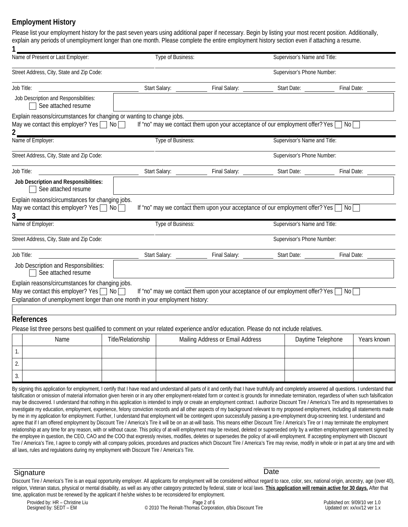## **Employment History**

| Name of Present or Last Employer:                                                                                                                                                                        | Type of Business:         |                                                                                                | Supervisor's Name and Title: |             |  |  |
|----------------------------------------------------------------------------------------------------------------------------------------------------------------------------------------------------------|---------------------------|------------------------------------------------------------------------------------------------|------------------------------|-------------|--|--|
| Street Address, City, State and Zip Code:                                                                                                                                                                |                           |                                                                                                | Supervisor's Phone Number:   |             |  |  |
| Job Title:                                                                                                                                                                                               | Start Salary: __________  |                                                                                                |                              | Final Date: |  |  |
| Job Description and Responsibilities:<br>See attached resume                                                                                                                                             |                           |                                                                                                |                              |             |  |  |
| Explain reasons/circumstances for changing or wanting to change jobs.<br>May we contact this employer? Yes $\Box$ No $\Box$                                                                              |                           | If "no" may we contact them upon your acceptance of our employment offer? Yes $\Box$ No $\Box$ |                              |             |  |  |
| Name of Employer:                                                                                                                                                                                        | Type of Business:         |                                                                                                | Supervisor's Name and Title: |             |  |  |
| Street Address, City, State and Zip Code:                                                                                                                                                                |                           |                                                                                                | Supervisor's Phone Number:   |             |  |  |
| Job Title:                                                                                                                                                                                               | Start Salary: ___________ |                                                                                                |                              |             |  |  |
| Job Description and Responsibilities:<br>See attached resume                                                                                                                                             |                           |                                                                                                |                              |             |  |  |
| Explain reasons/circumstances for changing jobs.                                                                                                                                                         |                           |                                                                                                |                              |             |  |  |
|                                                                                                                                                                                                          |                           | If "no" may we contact them upon your acceptance of our employment offer? Yes $\Box$ No $\Box$ |                              |             |  |  |
|                                                                                                                                                                                                          | Type of Business:         |                                                                                                | Supervisor's Name and Title: |             |  |  |
|                                                                                                                                                                                                          |                           |                                                                                                | Supervisor's Phone Number:   |             |  |  |
|                                                                                                                                                                                                          | Start Salary: ___________ |                                                                                                |                              | Final Date: |  |  |
| May we contact this employer? Yes $\Box$ No $\Box$<br>3.<br>Name of Employer:<br>Street Address, City, State and Zip Code:<br>Job Title:<br>Job Description and Responsibilities:<br>See attached resume |                           |                                                                                                |                              |             |  |  |
| Explain reasons/circumstances for changing jobs.<br>May we contact this employer? Yes $\Box$ No $\Box$                                                                                                   |                           | If "no" may we contact them upon your acceptance of our employment offer? Yes $\Box$ No [      |                              |             |  |  |
| Explanation of unemployment longer than one month in your employment history:                                                                                                                            |                           |                                                                                                |                              |             |  |  |
| <b>References</b>                                                                                                                                                                                        |                           |                                                                                                |                              |             |  |  |
| Please list three persons best qualified to comment on your related experience and/or education. Please do not include relatives.<br>Name                                                                | Title/Relationship        | Mailing Address or Email Address                                                               | Daytime Telephone            | Years known |  |  |
| 1.                                                                                                                                                                                                       |                           |                                                                                                |                              |             |  |  |
| 2.                                                                                                                                                                                                       |                           |                                                                                                |                              |             |  |  |

falsification or omission of material information given herein or in any other employment-related form or context is grounds for immediate termination, regardless of when such falsification may be discovered. I understand that nothing in this application is intended to imply or create an employment contract. I authorize Discount Tire / America's Tire and its representatives to investigate my education, employment, experience, felony conviction records and all other aspects of my background relevant to my proposed employment, including all statements made by me in my application for employment. Further, I understand that employment will be contingent upon successfully passing a pre-employment drug-screening test. I understand and agree that if I am offered employment by Discount Tire / America's Tire it will be on an at-will basis. This means either Discount Tire / America's Tire or I may terminate the employment relationship at any time for any reason, with or without cause. This policy of at-will employment may be revised, deleted or superseded only by a written employment agreement signed by the employee in question, the CEO, CAO and the COO that expressly revises, modifies, deletes or supersedes the policy of at-will employment. If accepting employment with Discount Tire / America's Tire, I agree to comply with all company policies, procedures and practices which Discount Tire / America's Tire may revise, modify in whole or in part at any time and with all laws, rules and regulations during my employment with Discount Tire / America's Tire.

#### Signature **Date**

Discount Tire / America's Tire is an equal opportunity employer. All applicants for employment will be considered without regard to race, color, sex, national origin, ancestry, age (over 40), religion, Veteran status, physical or mental disability, as well as any other category protected by federal, state or local laws. **This application will remain active for 30 days.** After that time, application must be renewed by the applicant if he/she wishes to be reconsidered for employment.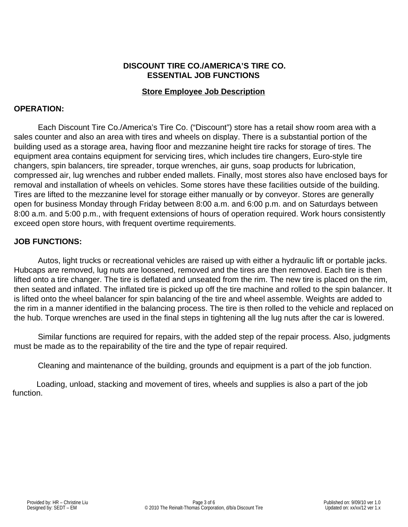### **DISCOUNT TIRE CO./AMERICA'S TIRE CO. ESSENTIAL JOB FUNCTIONS**

#### **Store Employee Job Description**

#### **OPERATION:**

Each Discount Tire Co./America's Tire Co. ("Discount") store has a retail show room area with a sales counter and also an area with tires and wheels on display. There is a substantial portion of the building used as a storage area, having floor and mezzanine height tire racks for storage of tires. The equipment area contains equipment for servicing tires, which includes tire changers, Euro-style tire changers, spin balancers, tire spreader, torque wrenches, air guns, soap products for lubrication, compressed air, lug wrenches and rubber ended mallets. Finally, most stores also have enclosed bays for removal and installation of wheels on vehicles. Some stores have these facilities outside of the building. Tires are lifted to the mezzanine level for storage either manually or by conveyor. Stores are generally open for business Monday through Friday between 8:00 a.m. and 6:00 p.m. and on Saturdays between 8:00 a.m. and 5:00 p.m., with frequent extensions of hours of operation required. Work hours consistently exceed open store hours, with frequent overtime requirements.

#### **JOB FUNCTIONS:**

 Autos, light trucks or recreational vehicles are raised up with either a hydraulic lift or portable jacks. Hubcaps are removed, lug nuts are loosened, removed and the tires are then removed. Each tire is then lifted onto a tire changer. The tire is deflated and unseated from the rim. The new tire is placed on the rim, then seated and inflated. The inflated tire is picked up off the tire machine and rolled to the spin balancer. It is lifted onto the wheel balancer for spin balancing of the tire and wheel assemble. Weights are added to the rim in a manner identified in the balancing process. The tire is then rolled to the vehicle and replaced on the hub. Torque wrenches are used in the final steps in tightening all the lug nuts after the car is lowered.

 Similar functions are required for repairs, with the added step of the repair process. Also, judgments must be made as to the repairability of the tire and the type of repair required.

Cleaning and maintenance of the building, grounds and equipment is a part of the job function.

Loading, unload, stacking and movement of tires, wheels and supplies is also a part of the job function.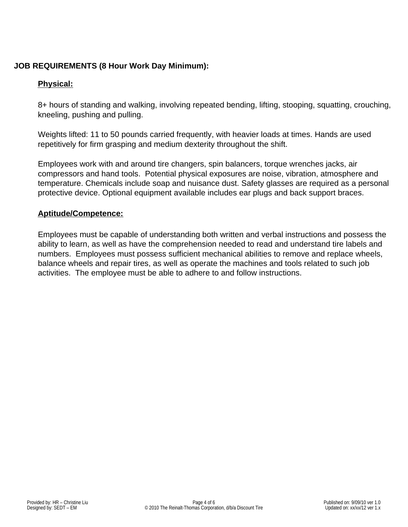# **JOB REQUIREMENTS (8 Hour Work Day Minimum):**

# **Physical:**

8+ hours of standing and walking, involving repeated bending, lifting, stooping, squatting, crouching, kneeling, pushing and pulling.

Weights lifted: 11 to 50 pounds carried frequently, with heavier loads at times. Hands are used repetitively for firm grasping and medium dexterity throughout the shift.

Employees work with and around tire changers, spin balancers, torque wrenches jacks, air compressors and hand tools. Potential physical exposures are noise, vibration, atmosphere and temperature. Chemicals include soap and nuisance dust. Safety glasses are required as a personal protective device. Optional equipment available includes ear plugs and back support braces.

#### **Aptitude/Competence:**

Employees must be capable of understanding both written and verbal instructions and possess the ability to learn, as well as have the comprehension needed to read and understand tire labels and numbers. Employees must possess sufficient mechanical abilities to remove and replace wheels, balance wheels and repair tires, as well as operate the machines and tools related to such job activities. The employee must be able to adhere to and follow instructions.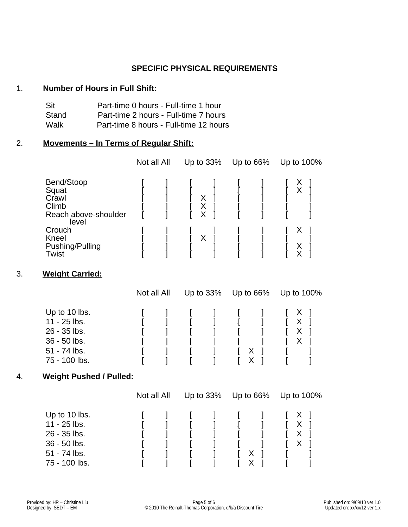#### **SPECIFIC PHYSICAL REQUIREMENTS**

#### 1. **Number of Hours in Full Shift:**

| Sit   | Part-time 0 hours - Full-time 1 hour   |
|-------|----------------------------------------|
| Stand | Part-time 2 hours - Full-time 7 hours  |
| Walk  | Part-time 8 hours - Full-time 12 hours |

### 2. **Movements – In Terms of Regular Shift:**

|                                                                        | Not all All | Up to 33%   | Up to 66% |  | Up to 100% |
|------------------------------------------------------------------------|-------------|-------------|-----------|--|------------|
| Bend/Stoop<br>Squat<br>Crawl<br>Climb<br>Reach above-shoulder<br>level |             | X<br>X<br>X |           |  | ∧<br>Χ     |
| Crouch<br>Kneel<br>Pushing/Pulling<br>Twist                            |             | Χ           |           |  | Х<br>X     |

# 3. **Weight Carried:**

|               | Not all All |  | Up to $33\%$ Up to $66\%$ |   | Up to 100%                       |  |
|---------------|-------------|--|---------------------------|---|----------------------------------|--|
| Up to 10 lbs. |             |  |                           |   | $\begin{array}{ccc} \end{array}$ |  |
| 11 - 25 lbs.  |             |  |                           |   | X                                |  |
| 26 - 35 lbs.  |             |  |                           |   | X                                |  |
| 36 - 50 lbs.  |             |  |                           |   | X                                |  |
| 51 - 74 lbs.  |             |  |                           | х |                                  |  |
| 75 - 100 lbs. |             |  |                           |   |                                  |  |

#### 4. 4. **Weight Pushed / Pulled:**

|               | Not all All |  | Up to $33\%$ | Up to 66% |  | Up to 100%                                     |
|---------------|-------------|--|--------------|-----------|--|------------------------------------------------|
| Up to 10 lbs. |             |  |              |           |  | $\begin{bmatrix} 1 & x \\ y & z \end{bmatrix}$ |
| 11 - 25 lbs.  |             |  |              |           |  | X                                              |
| 26 - 35 lbs.  |             |  |              |           |  | X                                              |
| 36 - 50 lbs.  |             |  |              |           |  |                                                |
| 51 - 74 lbs.  |             |  |              | х         |  |                                                |
| 75 - 100 lbs. |             |  |              |           |  |                                                |